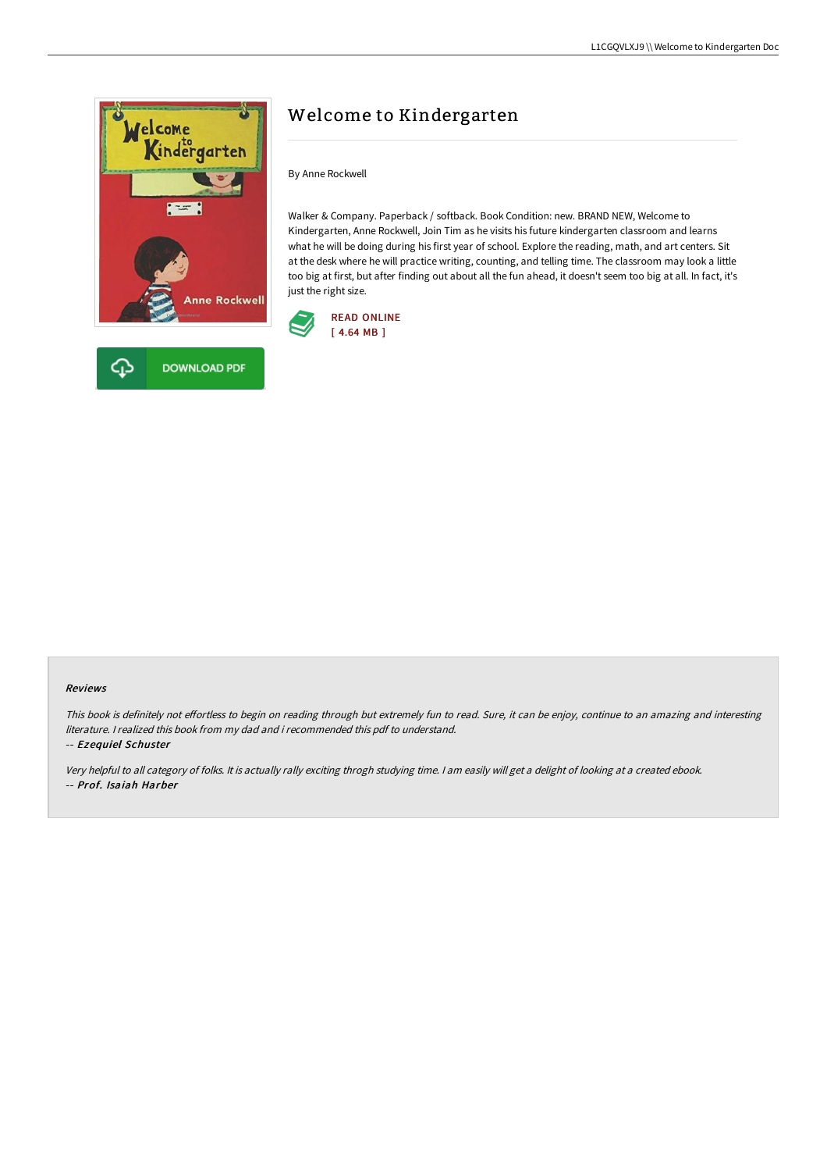



By Anne Rockwell

Walker & Company. Paperback / softback. Book Condition: new. BRAND NEW, Welcome to Kindergarten, Anne Rockwell, Join Tim as he visits his future kindergarten classroom and learns what he will be doing during his first year of school. Explore the reading, math, and art centers. Sit at the desk where he will practice writing, counting, and telling time. The classroom may look a little too big at first, but after finding out about all the fun ahead, it doesn't seem too big at all. In fact, it's just the right size.



#### Reviews

This book is definitely not effortless to begin on reading through but extremely fun to read. Sure, it can be enjoy, continue to an amazing and interesting literature. I realized this book from my dad and i recommended this pdf to understand.

-- Ezequiel Schuster

Very helpful to all category of folks. It is actually rally exciting throgh studying time. <sup>I</sup> am easily will get <sup>a</sup> delight of looking at <sup>a</sup> created ebook. -- Prof. Isaiah Harber